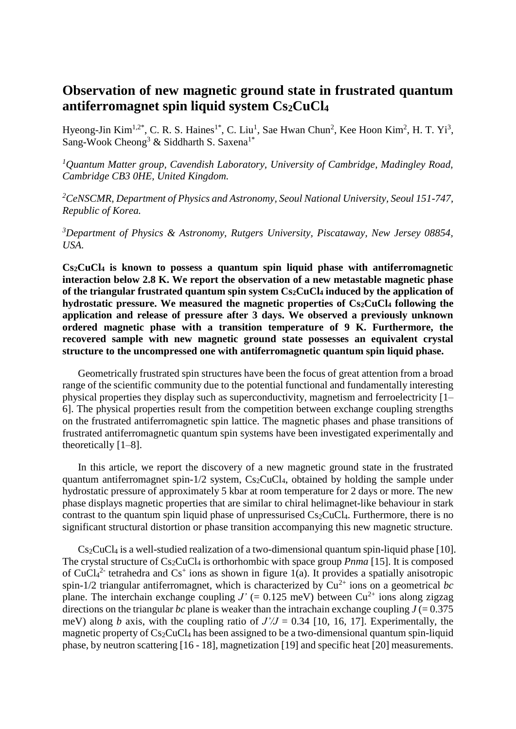## **Observation of new magnetic ground state in frustrated quantum antiferromagnet spin liquid system Cs2CuCl<sup>4</sup>**

Hyeong-Jin Kim<sup>1,2\*</sup>, C. R. S. Haines<sup>1\*</sup>, C. Liu<sup>1</sup>, Sae Hwan Chun<sup>2</sup>, Kee Hoon Kim<sup>2</sup>, H. T. Yi<sup>3</sup>, Sang-Wook Cheong<sup>3</sup> & Siddharth S. Saxena<sup>1\*</sup>

*<sup>1</sup>Quantum Matter group, Cavendish Laboratory, University of Cambridge, Madingley Road, Cambridge CB3 0HE, United Kingdom.*

*<sup>2</sup>CeNSCMR, Department of Physics and Astronomy, Seoul National University, Seoul 151-747, Republic of Korea.*

*<sup>3</sup>Department of Physics & Astronomy, Rutgers University, Piscataway, New Jersey 08854, USA.*

**Cs2CuCl<sup>4</sup> is known to possess a quantum spin liquid phase with antiferromagnetic interaction below 2.8 K. We report the observation of a new metastable magnetic phase of the triangular frustrated quantum spin system Cs2CuCl<sup>4</sup> induced by the application of hydrostatic pressure. We measured the magnetic properties of Cs2CuCl<sup>4</sup> following the application and release of pressure after 3 days. We observed a previously unknown ordered magnetic phase with a transition temperature of 9 K. Furthermore, the recovered sample with new magnetic ground state possesses an equivalent crystal structure to the uncompressed one with antiferromagnetic quantum spin liquid phase.**

Geometrically frustrated spin structures have been the focus of great attention from a broad range of the scientific community due to the potential functional and fundamentally interesting physical properties they display such as superconductivity, magnetism and ferroelectricity [1– 6]. The physical properties result from the competition between exchange coupling strengths on the frustrated antiferromagnetic spin lattice. The magnetic phases and phase transitions of frustrated antiferromagnetic quantum spin systems have been investigated experimentally and theoretically [1–8].

In this article, we report the discovery of a new magnetic ground state in the frustrated quantum antiferromagnet spin- $1/2$  system,  $Cs<sub>2</sub>CuCl<sub>4</sub>$ , obtained by holding the sample under hydrostatic pressure of approximately 5 kbar at room temperature for 2 days or more. The new phase displays magnetic properties that are similar to chiral helimagnet-like behaviour in stark contrast to the quantum spin liquid phase of unpressurised Cs2CuCl4. Furthermore, there is no significant structural distortion or phase transition accompanying this new magnetic structure.

 $Cs<sub>2</sub>CuCl<sub>4</sub>$  is a well-studied realization of a two-dimensional quantum spin-liquid phase [10]. The crystal structure of Cs<sub>2</sub>CuCl<sub>4</sub> is orthorhombic with space group *Pnma* [15]. It is composed of CuCl<sub>4</sub><sup>2</sup> tetrahedra and Cs<sup>+</sup> ions as shown in figure 1(a). It provides a spatially anisotropic spin-1/2 triangular antiferromagnet, which is characterized by  $Cu^{2+}$  ions on a geometrical *bc* plane. The interchain exchange coupling  $J' (= 0.125 \text{ meV})$  between  $Cu^{2+}$  ions along zigzag directions on the triangular *bc* plane is weaker than the intrachain exchange coupling  $J = 0.375$ meV) along *b* axis, with the coupling ratio of  $J/J = 0.34$  [10, 16, 17]. Experimentally, the magnetic property of  $Cs<sub>2</sub>CuCl<sub>4</sub>$  has been assigned to be a two-dimensional quantum spin-liquid phase, by neutron scattering [16 - 18], magnetization [19] and specific heat [20] measurements.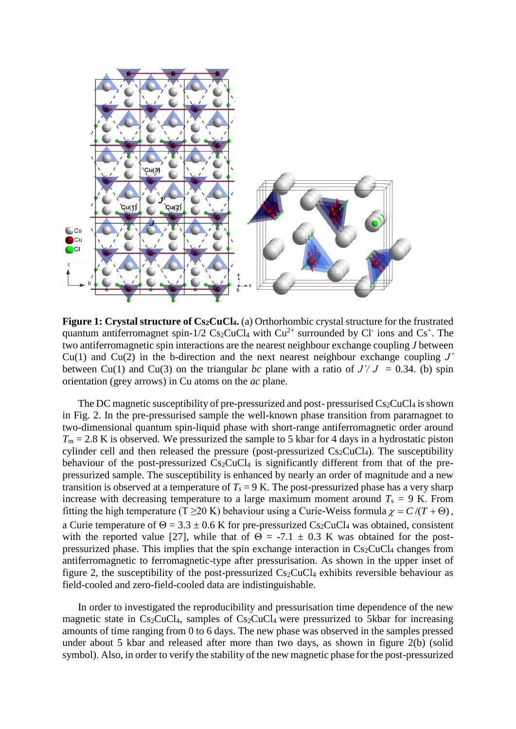

**Figure 1: Crystal structure of Cs2CuCl4.** (a) Orthorhombic crystal structure for the frustrated quantum antiferromagnet spin-1/2  $Cs_2CuCl_4$  with  $Cu^{2+}$  surrounded by Cl ions and Cs<sup>+</sup>. The two antiferromagnetic spin interactions are the nearest neighbour exchange coupling *J* between Cu(1) and Cu(2) in the b-direction and the next nearest neighbour exchange coupling *J'*  between Cu(1) and Cu(3) on the triangular *bc* plane with a ratio of  $J'/J = 0.34$ . (b) spin orientation (grey arrows) in Cu atoms on the *ac* plane.

The DC magnetic susceptibility of pre-pressurized and post-pressurised  $Cs<sub>2</sub>CuCl<sub>4</sub>$  is shown in Fig. 2. In the pre-pressurised sample the well-known phase transition from paramagnet to two-dimensional quantum spin-liquid phase with short-range antiferromagnetic order around  $T_m = 2.8$  K is observed. We pressurized the sample to 5 kbar for 4 days in a hydrostatic piston cylinder cell and then released the pressure (post-pressurized  $Cs<sub>2</sub>CuCl<sub>4</sub>$ ). The susceptibility behaviour of the post-pressurized  $Cs_2CuCl<sub>4</sub>$  is significantly different from that of the prepressurized sample. The susceptibility is enhanced by nearly an order of magnitude and a new transition is observed at a temperature of  $T_s = 9$  K. The post-pressurized phase has a very sharp increase with decreasing temperature to a large maximum moment around  $T_s = 9$  K. From fitting the high temperature (T  $\geq$ 20 K) behaviour using a Curie-Weiss formula  $\chi = C/(T + \Theta)$ , a Curie temperature of  $\Theta = 3.3 \pm 0.6$  K for pre-pressurized Cs<sub>2</sub>CuCl<sub>4</sub> was obtained, consistent with the reported value [27], while that of  $\Theta = -7.1 \pm 0.3$  K was obtained for the postpressurized phase. This implies that the spin exchange interaction in  $Cs<sub>2</sub>CuCl<sub>4</sub>$  changes from antiferromagnetic to ferromagnetic-type after pressurisation. As shown in the upper inset of figure 2, the susceptibility of the post-pressurized  $Cs_2CuCl_4$  exhibits reversible behaviour as field-cooled and zero-field-cooled data are indistinguishable.

In order to investigated the reproducibility and pressurisation time dependence of the new magnetic state in  $Cs_2CuCl<sub>4</sub>$ , samples of  $Cs_2CuCl<sub>4</sub>$  were pressurized to 5kbar for increasing amounts of time ranging from 0 to 6 days. The new phase was observed in the samples pressed under about 5 kbar and released after more than two days, as shown in figure 2(b) (solid symbol). Also, in order to verify the stability of the new magnetic phase for the post-pressurized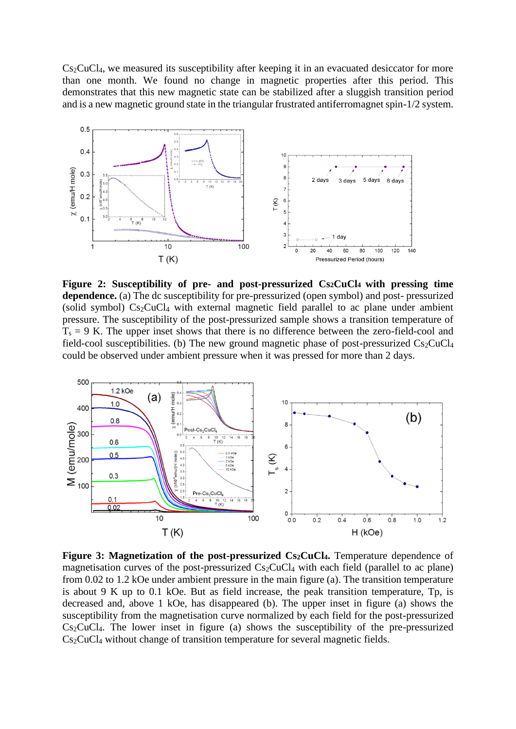Cs2CuCl4, we measured its susceptibility after keeping it in an evacuated desiccator for more than one month. We found no change in magnetic properties after this period. This demonstrates that this new magnetic state can be stabilized after a sluggish transition period and is a new magnetic ground state in the triangular frustrated antiferromagnet spin-1/2 system.



**Figure 2: Susceptibility of pre- and post-pressurized Cs2CuCl4 with pressing time dependence.** (a) The dc susceptibility for pre-pressurized (open symbol) and post- pressurized (solid symbol)  $Cs<sub>2</sub>CuCl<sub>4</sub>$  with external magnetic field parallel to ac plane under ambient pressure. The susceptibility of the post-pressurized sample shows a transition temperature of  $T_s = 9$  K. The upper inset shows that there is no difference between the zero-field-cool and field-cool susceptibilities. (b) The new ground magnetic phase of post-pressurized  $Cs_2CuCl<sub>4</sub>$ could be observed under ambient pressure when it was pressed for more than 2 days.



**Figure 3: Magnetization of the post-pressurized Cs2CuCl4.** Temperature dependence of magnetisation curves of the post-pressurized  $Cs_2CuCl_4$  with each field (parallel to ac plane) from 0.02 to 1.2 kOe under ambient pressure in the main figure (a). The transition temperature is about 9 K up to 0.1 kOe. But as field increase, the peak transition temperature, Tp, is decreased and, above 1 kOe, has disappeared (b). The upper inset in figure (a) shows the susceptibility from the magnetisation curve normalized by each field for the post-pressurized  $Cs<sub>2</sub>CuCl<sub>4</sub>$ . The lower inset in figure (a) shows the susceptibility of the pre-pressurized Cs<sub>2</sub>CuCl<sub>4</sub> without change of transition temperature for several magnetic fields.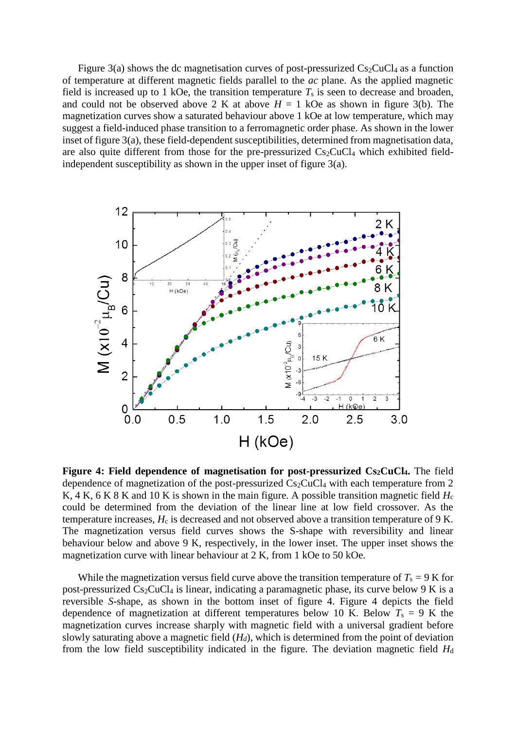Figure 3(a) shows the dc magnetisation curves of post-pressurized  $Cs_2CuCl<sub>4</sub>$  as a function of temperature at different magnetic fields parallel to the *ac* plane. As the applied magnetic field is increased up to 1 kOe, the transition temperature  $T_s$  is seen to decrease and broaden, and could not be observed above 2 K at above  $H = 1$  kOe as shown in figure 3(b). The magnetization curves show a saturated behaviour above 1 kOe at low temperature, which may suggest a field-induced phase transition to a ferromagnetic order phase. As shown in the lower inset of figure 3(a), these field-dependent susceptibilities, determined from magnetisation data, are also quite different from those for the pre-pressurized  $Cs_2CuCl<sub>4</sub>$  which exhibited fieldindependent susceptibility as shown in the upper inset of figure 3(a).



**Figure 4: Field dependence of magnetisation for post-pressurized Cs2CuCl4.** The field dependence of magnetization of the post-pressurized  $Cs<sub>2</sub>CuCl<sub>4</sub>$  with each temperature from 2 K, 4 K, 6 K 8 K and 10 K is shown in the main figure. A possible transition magnetic field  $H_c$ could be determined from the deviation of the linear line at low field crossover. As the temperature increases,  $H_c$  is decreased and not observed above a transition temperature of 9 K. The magnetization versus field curves shows the S-shape with reversibility and linear behaviour below and above 9 K, respectively, in the lower inset. The upper inset shows the magnetization curve with linear behaviour at 2 K, from 1 kOe to 50 kOe.

While the magnetization versus field curve above the transition temperature of  $T_s = 9$  K for post-pressurized  $Cs_2CuCl<sub>4</sub>$  is linear, indicating a paramagnetic phase, its curve below 9 K is a reversible *S*-shape, as shown in the bottom inset of figure 4. Figure 4 depicts the field dependence of magnetization at different temperatures below 10 K. Below  $T_s = 9$  K the magnetization curves increase sharply with magnetic field with a universal gradient before slowly saturating above a magnetic field (*Hd*), which is determined from the point of deviation from the low field susceptibility indicated in the figure. The deviation magnetic field  $H_d$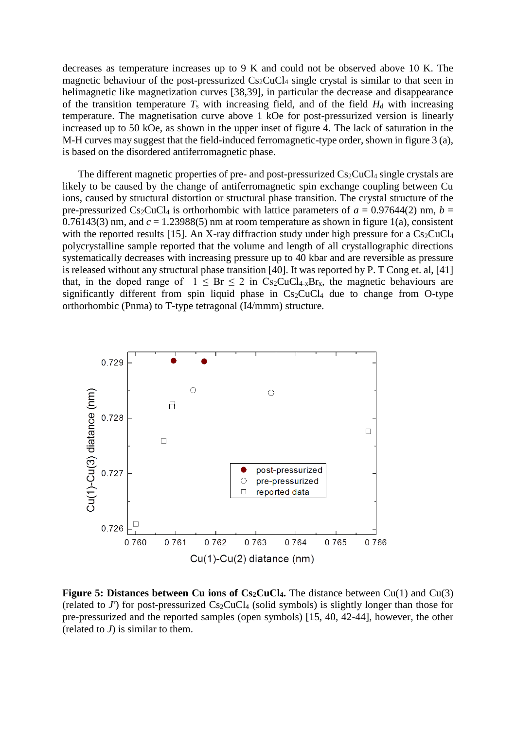decreases as temperature increases up to 9 K and could not be observed above 10 K. The magnetic behaviour of the post-pressurized  $Cs_2CuCl_4$  single crystal is similar to that seen in helimagnetic like magnetization curves [38,39], in particular the decrease and disappearance of the transition temperature  $T_s$  with increasing field, and of the field  $H_d$  with increasing temperature. The magnetisation curve above 1 kOe for post-pressurized version is linearly increased up to 50 kOe, as shown in the upper inset of figure 4. The lack of saturation in the M-H curves may suggest that the field-induced ferromagnetic-type order, shown in figure 3 (a), is based on the disordered antiferromagnetic phase.

The different magnetic properties of pre- and post-pressurized  $Cs<sub>2</sub>CuCl<sub>4</sub>$  single crystals are likely to be caused by the change of antiferromagnetic spin exchange coupling between Cu ions, caused by structural distortion or structural phase transition. The crystal structure of the pre-pressurized Cs<sub>2</sub>CuCl<sub>4</sub> is orthorhombic with lattice parameters of  $a = 0.97644(2)$  nm,  $b =$ 0.76143(3) nm, and  $c = 1.23988(5)$  nm at room temperature as shown in figure 1(a), consistent with the reported results [15]. An X-ray diffraction study under high pressure for a  $Cs_2CuCl<sub>4</sub>$ polycrystalline sample reported that the volume and length of all crystallographic directions systematically decreases with increasing pressure up to 40 kbar and are reversible as pressure is released without any structural phase transition [40]. It was reported by P. T Cong et. al, [41] that, in the doped range of  $1 \leq Br \leq 2$  in Cs<sub>2</sub>CuCl<sub>4-x</sub>Br<sub>x</sub>, the magnetic behaviours are significantly different from spin liquid phase in  $Cs_2CuCl<sub>4</sub>$  due to change from O-type orthorhombic (Pnma) to T-type tetragonal (I4/mmm) structure.



**Figure 5: Distances between Cu ions of Cs2CuCl4.** The distance between Cu(1) and Cu(3) (related to  $J'$ ) for post-pressurized  $Cs<sub>2</sub>CuCl<sub>4</sub>$  (solid symbols) is slightly longer than those for pre-pressurized and the reported samples (open symbols) [15, 40, 42-44], however, the other (related to  $J$ ) is similar to them.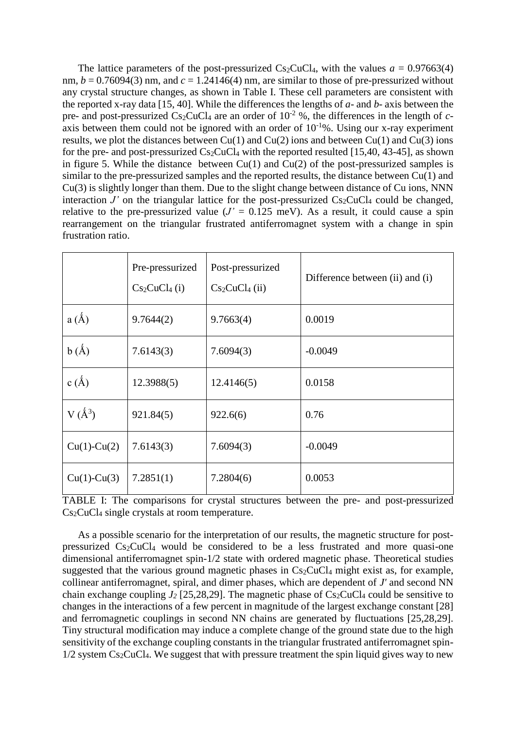The lattice parameters of the post-pressurized  $Cs_2CuCl<sub>4</sub>$ , with the values  $a = 0.97663(4)$ nm,  $b = 0.76094(3)$  nm, and  $c = 1.24146(4)$  nm, are similar to those of pre-pressurized without any crystal structure changes, as shown in Table I. These cell parameters are consistent with the reported x-ray data [15, 40]. While the differences the lengths of *a*- and *b*- axis between the pre- and post-pressurized  $Cs_2CuCl_4$  are an order of  $10^{-2}$  %, the differences in the length of *c*axis between them could not be ignored with an order of  $10^{-1}\%$ . Using our x-ray experiment results, we plot the distances between  $Cu(1)$  and  $Cu(2)$  ions and between  $Cu(1)$  and  $Cu(3)$  ions for the pre- and post-pressurized  $Cs_2CuCl_4$  with the reported resulted [15,40, 43-45], as shown in figure 5. While the distance between  $Cu(1)$  and  $Cu(2)$  of the post-pressurized samples is similar to the pre-pressurized samples and the reported results, the distance between Cu(1) and Cu(3) is slightly longer than them. Due to the slight change between distance of Cu ions, NNN interaction  $J'$  on the triangular lattice for the post-pressurized  $Cs_2CuCl_4$  could be changed, relative to the pre-pressurized value  $(J' = 0.125 \text{ meV})$ . As a result, it could cause a spin rearrangement on the triangular frustrated antiferromagnet system with a change in spin frustration ratio.

|               | Pre-pressurized<br>$Cs_2CuCl4 (i)$ | Post-pressurized<br>$Cs2CuCl4$ (ii) | Difference between (ii) and (i) |
|---------------|------------------------------------|-------------------------------------|---------------------------------|
| $a(\AA)$      | 9.7644(2)                          | 9.7663(4)                           | 0.0019                          |
| $b(\AA)$      | 7.6143(3)                          | 7.6094(3)                           | $-0.0049$                       |
| $c(\AA)$      | 12.3988(5)                         | 12.4146(5)                          | 0.0158                          |
| $V(\AA^3)$    | 921.84(5)                          | 922.6(6)                            | 0.76                            |
| $Cu(1)-Cu(2)$ | 7.6143(3)                          | 7.6094(3)                           | $-0.0049$                       |
| $Cu(1)-Cu(3)$ | 7.2851(1)                          | 7.2804(6)                           | 0.0053                          |

TABLE I: The comparisons for crystal structures between the pre- and post-pressurized Cs2CuCl<sup>4</sup> single crystals at room temperature.

As a possible scenario for the interpretation of our results, the magnetic structure for postpressurized Cs2CuCl<sup>4</sup> would be considered to be a less frustrated and more quasi-one dimensional antiferromagnet spin-1/2 state with ordered magnetic phase. Theoretical studies suggested that the various ground magnetic phases in  $Cs<sub>2</sub>CuCl<sub>4</sub>$  might exist as, for example, collinear antiferromagnet, spiral, and dimer phases, which are dependent of *J'* and second NN chain exchange coupling  $J_2$  [25,28,29]. The magnetic phase of  $Cs_2CuCl_4$  could be sensitive to changes in the interactions of a few percent in magnitude of the largest exchange constant [28] and ferromagnetic couplings in second NN chains are generated by fluctuations [25,28,29]. Tiny structural modification may induce a complete change of the ground state due to the high sensitivity of the exchange coupling constants in the triangular frustrated antiferromagnet spin- $1/2$  system Cs<sub>2</sub>CuCl<sub>4</sub>. We suggest that with pressure treatment the spin liquid gives way to new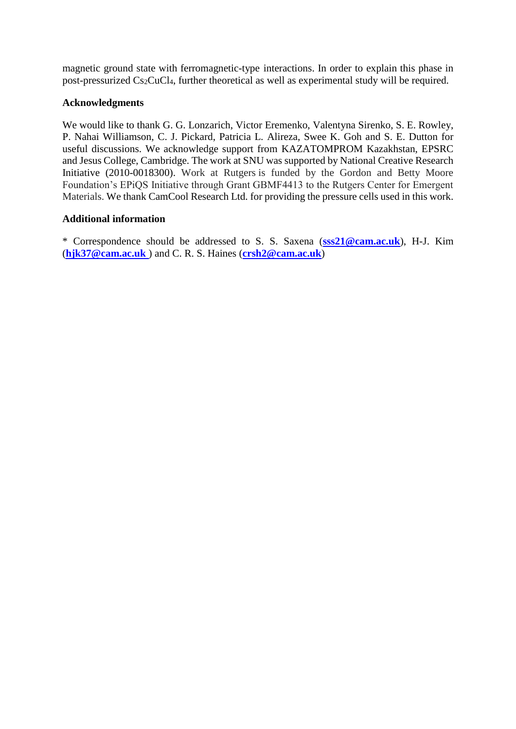magnetic ground state with ferromagnetic-type interactions. In order to explain this phase in post-pressurized Cs2CuCl4, further theoretical as well as experimental study will be required.

## **Acknowledgments**

We would like to thank G. G. Lonzarich, Victor Eremenko, Valentyna Sirenko, S. E. Rowley, P. Nahai Williamson, C. J. Pickard, Patricia L. Alireza, Swee K. Goh and S. E. Dutton for useful discussions. We acknowledge support from KAZATOMPROM Kazakhstan, EPSRC and Jesus College, Cambridge. The work at SNU was supported by National Creative Research Initiative (2010-0018300). Work at Rutgers is funded by the Gordon and Betty Moore Foundation's EPiQS Initiative through Grant GBMF4413 to the Rutgers Center for Emergent Materials. We thank CamCool Research Ltd. for providing the pressure cells used in this work.

## **Additional information**

\* Correspondence should be addressed to S. S. Saxena (**[sss21@cam.ac.uk](mailto:sss21@cam.ac.uk)**), H-J. Kim (**[hjk37@cam.ac.uk](mailto:hjk37@cam.ac.uk)** ) and C. R. S. Haines (**[crsh2@cam.ac.uk](mailto:crsh2@cam.ac.uk)**)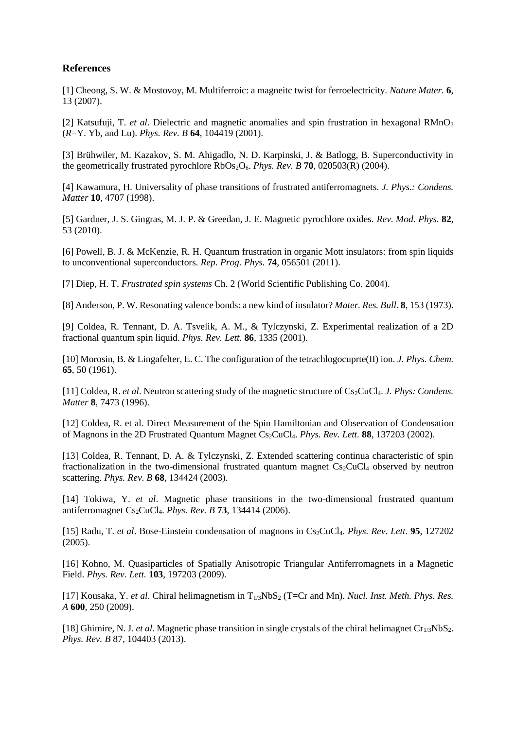## **References**

[1] Cheong, S. W. & Mostovoy, M. Multiferroic: a magneitc twist for ferroelectricity. *Nature Mater.* **6**, 13 (2007).

[2] Katsufuji, T. *et al.* Dielectric and magnetic anomalies and spin frustration in hexagonal RMnO<sub>3</sub> (*R*=Y. Yb, and Lu). *Phys. Rev. B* **64**, 104419 (2001).

[3] Brühwiler, M. Kazakov, S. M. Ahigadlo, N. D. Karpinski, J. & Batlogg, B. Superconductivity in the geometrically frustrated pyrochlore RbOs2O6. *Phys. Rev. B* **70**, 020503(R) (2004).

[4] Kawamura, H. Universality of phase transitions of frustrated antiferromagnets. *J. Phys.: Condens. Matter* **10**, 4707 (1998).

[5] Gardner, J. S. Gingras, M. J. P. & Greedan, J. E. Magnetic pyrochlore oxides. *Rev. Mod. Phys.* **82**, 53 (2010).

[6] Powell, B. J. & McKenzie, R. H. Quantum frustration in organic Mott insulators: from spin liquids to unconventional superconductors. *Rep. Prog. Phys.* **74**, 056501 (2011).

[7] Diep, H. T. *Frustrated spin systems* Ch. 2 (World Scientific Publishing Co. 2004).

[8] Anderson, P. W. Resonating valence bonds: a new kind of insulator? *Mater. Res. Bull.* **8**, 153 (1973).

[9] Coldea, R. Tennant, D. A. Tsvelik, A. M., & Tylczynski, Z. Experimental realization of a 2D fractional quantum spin liquid. *Phys. Rev. Lett.* **86**, 1335 (2001).

[10] Morosin, B. & Lingafelter, E. C. The configuration of the tetrachlogocuprte(II) ion. *J. Phys. Chem.*  **65**, 50 (1961).

[11] Coldea, R. *et al.* Neutron scattering study of the magnetic structure of Cs<sub>2</sub>CuCl<sub>4</sub>. *J. Phys: Condens. Matter* **8**, 7473 (1996).

[12] Coldea, R. et al. Direct Measurement of the Spin Hamiltonian and Observation of Condensation of Magnons in the 2D Frustrated Quantum Magnet Cs2CuCl4. *Phys. Rev. Lett.* **88**, 137203 (2002).

[13] Coldea, R. Tennant, D. A. & Tylczynski, Z. Extended scattering continua characteristic of spin fractionalization in the two-dimensional frustrated quantum magnet  $Cs<sub>2</sub>CuCl<sub>4</sub>$  observed by neutron scattering. *Phys. Rev. B* **68**, 134424 (2003).

[14] Tokiwa, Y. *et al*. Magnetic phase transitions in the two-dimensional frustrated quantum antiferromagnet Cs2CuCl4. *Phys. Rev. B* **73**, 134414 (2006).

[15] Radu, T. *et al*. Bose-Einstein condensation of magnons in Cs2CuCl4. *Phys. Rev. Lett.* **95**, 127202 (2005).

[16] Kohno, M. Quasiparticles of Spatially Anisotropic Triangular Antiferromagnets in a Magnetic Field. *Phys. Rev. Lett.* **103**, 197203 (2009).

[17] Kousaka, Y. *et al.* Chiral helimagnetism in T<sub>1/3</sub>NbS<sub>2</sub> (T=Cr and Mn). *Nucl. Inst. Meth. Phys. Res. A* **600**, 250 (2009).

[18] Ghimire, N. J. *et al*. Magnetic phase transition in single crystals of the chiral helimagnet Cr1/3NbS2. *Phys. Rev. B* 87, 104403 (2013).